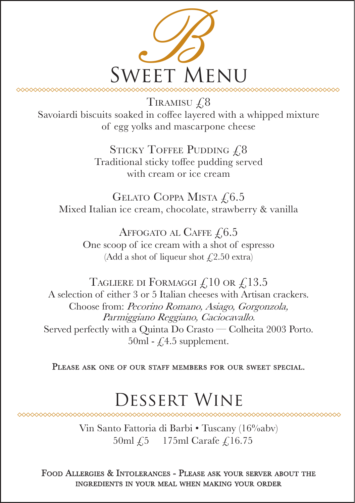

TIRAMISU  $\sqrt{.8}$ Savoiardi biscuits soaked in coffee layered with a whipped mixture of egg yolks and mascarpone cheese

> STICKY TOFFEE PUDDING  $\sqrt{.8}$ Traditional sticky toffee pudding served with cream or ice cream

GELATO COPPA MISTA  $\text{\emph{f}}\@ifnextchar{^}{\text{\emph{6.5}}}$ Mixed Italian ice cream, chocolate, strawberry & vanilla

AFFOGATO AL CAFFE  $£,6.5$ One scoop of ice cream with a shot of espresso (Add a shot of liqueur shot  $\text{\textsterling}2.50 \text{ extra}$ )

TAGLIERE DI FORMAGGI  $\mathcal{L}10$  or  $\mathcal{L}13.5$ A selection of either 3 or 5 Italian cheeses with Artisan crackers. Choose from: Pecorino Romano, Asiago, Gorgonzola, Parmiggiano Reggiano, Caciocavallo. Served perfectly with a Quinta Do Crasto — Colheita 2003 Porto.  $50ml - f.4.5$  supplement.

PLEASE ASK ONE OF OUR STAFF MEMBERS FOR OUR SWEET SPECIAL.

## Dessert Wine

Vin Santo Fattoria di Barbi • Tuscany (16%abv) 50ml £5 175ml Carafe £16.75

FOOD ALLERGIES & INTOLERANCES - PLEASE ASK YOUR SERVER ABOUT THE INGREDIENTS IN YOUR MEAL WHEN MAKING YOUR ORDER